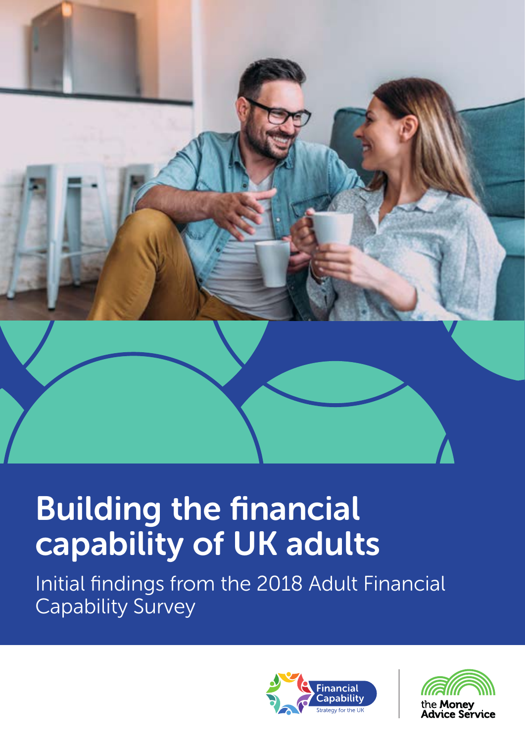

# Building the financial capability of UK adults

Initial findings from the 2018 Adult Financial Capability Survey



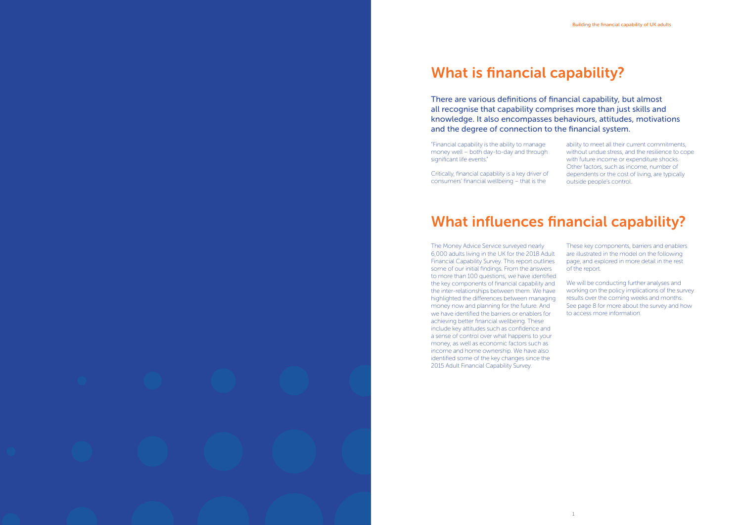### What is financial capability?

There are various definitions of financial capability, but almost all recognise that capability comprises more than just skills and knowledge. It also encompasses behaviours, attitudes, motivations and the degree of connection to the financial system.

"Financial capability is the ability to manage money well – both day-to-day and through significant life events."

Critically, financial capability is a key driver of consumers' financial wellbeing – that is the

ability to meet all their current commitments, without undue stress, and the resilience to cope with future income or expenditure shocks. Other factors, such as income, number of dependents or the cost of living, are typically outside people's control.

### What influences financial capability?

We will be conducting further analyses and working on the policy implications of the survey results over the coming weeks and months. See page 8 for more about the survey and how to access more information.

The Money Advice Service surveyed nearly 6,000 adults living in the UK for the 2018 Adult Financial Capability Survey. This report outlines some of our initial findings. From the answers to more than 100 questions, we have identified the key components of financial capability and the inter-relationships between them. We have highlighted the differences between managing money now and planning for the future. And we have identified the barriers or enablers for achieving better financial wellbeing. These include key attitudes such as confidence and a sense of control over what happens to your money, as well as economic factors such as income and home ownership. We have also identified some of the key changes since the 2015 Adult Financial Capability Survey.

These key components, barriers and enablers are illustrated in the model on the following page, and explored in more detail in the rest of the report.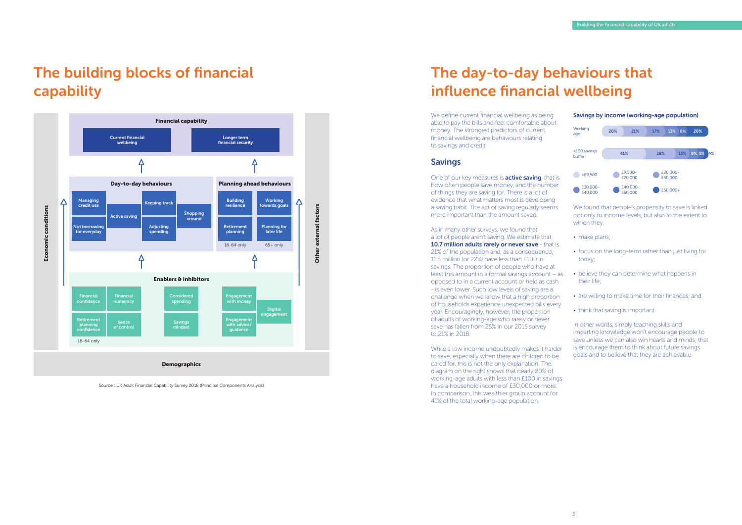### The building blocks of financial capability

Source : UK Adult Financial Capability Survey 2018 (Principal Components Analysis)



One of our key measures is **active saving**, that is how often people save money, and the number of things they are saving for. There is a lot of evidence that what matters most is developing a saving habit. The act of saving regularly seems more important than the amount saved.

## The day-to-day behaviours that influence financial wellbeing

We define current financial wellbeing as being able to pay the bills and feel comfortable about money. The strongest predictors of current financial wellbeing are behaviours relating to savings and credit.

#### Savings

- make plans;
- focus on the long-term rather than just living for today;
- believe they can determine what happens in their life;
- are willing to make time for their finances; and
- think that saving is important.

As in many other surveys, we found that a lot of people aren't saving. We estimate that 10.7 million adults rarely or never save - that is 21% of the population and, as a consequence, 11.5 million (or 22%) have less than £100 in savings. The proportion of people who have at least this amount in a formal savings account – as opposed to in a current account or held as cash - is even lower. Such low levels of saving are a challenge when we know that a high proportion of households experience unexpected bills every year. Encouragingly, however, the proportion of adults of working-age who rarely or never save has fallen from 25% in our 2015 survey to 21% in 2018.

While a low income undoubtedly makes it harder to save, especially when there are children to be cared for, this is not the only explanation. The diagram on the right shows that nearly 20% of working-age adults with less than £100 in savings have a household income of £30,000 or more. In comparison, this wealthier group account for 41% of the total working-age population.

#### Savings by income (working-age population)



We found that people's propensity to save is linked not only to income levels, but also to the extent to which they:

In other words, simply teaching skills and imparting knowledge won't encourage people to save unless we can also win hearts and minds; that is encourage them to think about future savings goals and to believe that they are achievable.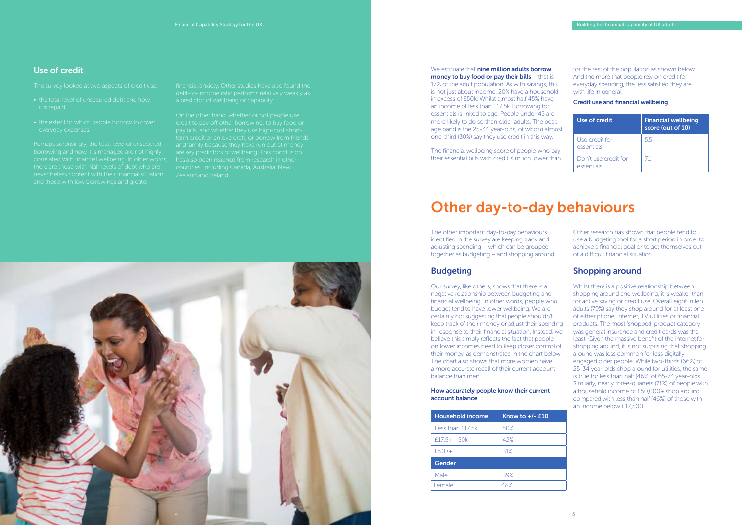### Use of credit

- the total level of unsecured debt and how it is repaid
- the extent to which people borrow to cover

The survey looked at two aspects of credit use:

correlated with financial wellbeing. In other words, there are those with high levels of debt who are and those with low borrowings and greater

financial anxiety. Other studies have also found the debt-to-income ratio performs relatively weakly as

On the other hand, whether or not people use credit to pay off other borrowing, to buy food or term credit or an overdraft, or borrow from friends and family because they have run out of money are key predictors of wellbeing. This conclusion countries, including Canada, Australia, New Zealand and Ireland.

17% of the adult population. As with savings, this is not just about income. 20% have a household in excess of £50k. Whilst almost half 45% have an income of less than £17.5k. Borrowing for essentials is linked to age. People under 45 are more likely to do so than older adults. The peak age band is the 25-34 year-olds, of whom almost one-third (30%) say they use credit in this way.

> Other research has shown that people tend to use a budgeting tool for a short period in order to achieve a financial goal or to get themselves out of a difficult financial situation.

The financial wellbeing score of people who pay their essential bills with credit is much lower than

for the rest of the population as shown below. And the more that people rely on credit for everyday spending, the less satisfied they are with life in general.

Credit use and financial wellbeing

| Use of credit                      | <b>Financial wellbeing</b><br>score (out of 10) |
|------------------------------------|-------------------------------------------------|
| Use credit for<br>essentials       | 55                                              |
| Don't use credit for<br>essentials | 71                                              |

### Other day-to-day behaviours

The other important day-to-day behaviours identified in the survey are keeping track and adjusting spending – which can be grouped together as budgeting – and shopping around.

#### **Budgeting**

Our survey, like others, shows that there is a negative relationship between budgeting and financial wellbeing. In other words, people who budget tend to have lower wellbeing. We are certainly not suggesting that people shouldn't keep track of their money or adjust their spending in response to their financial situation. Instead, we believe this simply reflects the fact that people on lower incomes need to keep closer control of their money, as demonstrated in the chart below. The chart also shows that more women have a more accurate recall of their current account balance than men.

#### How accurately people know their current account balance

| Know to $+/-E10$ |
|------------------|
| 50%              |
| 42%              |
| 31%              |
|                  |
| 39%              |
| 48%              |
|                  |

### Shopping around

Whilst there is a positive relationship between shopping around and wellbeing, it is weaker than for active saving or credit use. Overall eight in ten adults (79%) say they shop around for at least one of either phone, internet, TV, utilities or financial products. The most 'shopped' product category was general insurance and credit cards was the least. Given the massive benefit of the internet for shopping around, it is not surprising that shopping around was less common for less digitally engaged older people. While two-thirds (66%) of 25-34 year-olds shop around for utilities, the same is true for less than half (46%) of 65-74 year-olds. Similarly, nearly three-quarters (71%) of people with a household income of £50,000+ shop around, compared with less than half (46%) of those with an income below £17,500.



#### We estimate that **nine million adults borrow** money to buy food or pay their bills – that is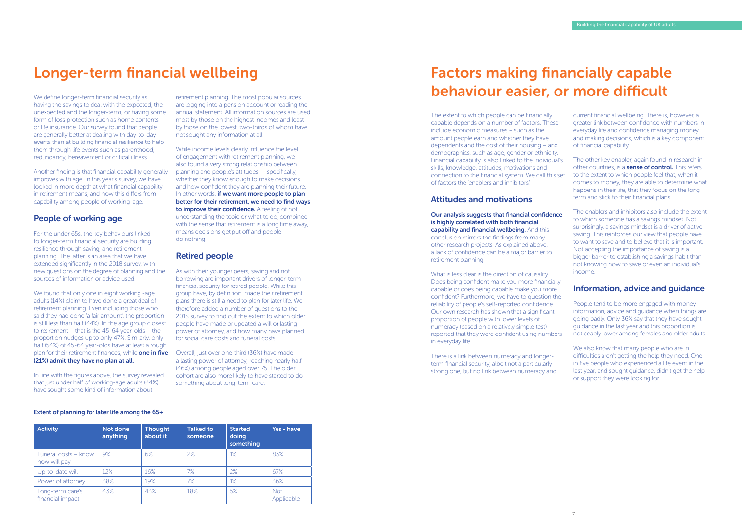### Longer-term financial wellbeing

We define longer-term financial security as having the savings to deal with the expected, the unexpected and the longer-term; or having some form of loss protection such as home contents or life insurance. Our survey found that people are generally better at dealing with day-to-day events than at building financial resilience to help them through life events such as parenthood, redundancy, bereavement or critical illness.

Another finding is that financial capability generally improves with age. In this year's survey, we have looked in more depth at what financial capability in retirement means, and how this differs from capability among people of working-age.

### People of working age

We found that only one in eight working -age adults (14%) claim to have done a great deal of retirement planning. Even including those who said they had done 'a fair amount', the proportion is still less than half (44%). In the age group closest to retirement – that is the 45-64 year-olds – the proportion nudges up to only 47%. Similarly, only half (54%) of 45-64 year-olds have at least a rough plan for their retirement finances, while **one in five** Overall, just over one-third (36%) have made (21%) admit they have no plan at all.

In line with the figures above, the survey revealed that just under half of working-age adults (44%) have sought some kind of information about

For the under 65s, the key behaviours linked to longer-term financial security are building resilience through saving, and retirement planning. The latter is an area that we have extended significantly in the 2018 survey, with new questions on the degree of planning and the sources of information or advice used.

### Factors making financially capable behaviour easier, or more difficult

retirement planning. The most popular sources are logging into a pension account or reading the annual statement. All information sources are used most by those on the highest incomes and least by those on the lowest, two-thirds of whom have not sought any information at all.

While income levels clearly influence the level of engagement with retirement planning, we also found a very strong relationship between planning and people's attitudes – specifically, whether they know enough to make decisions and how confident they are planning their future. In other words, if we want more people to plan better for their retirement, we need to find ways to improve their confidence. A feeling of not understanding the topic or what to do, combined with the sense that retirement is a long time away, means decisions get put off and people do nothing.

### Retired people

As with their younger peers, saving and not borrowing are important drivers of longer-term financial security for retired people. While this group have, by definition, made their retirement plans there is still a need to plan for later life. We therefore added a number of questions to the 2018 survey to find out the extent to which older people have made or updated a will or lasting power of attorney, and how many have planned for social care costs and funeral costs.

a lasting power of attorney, reaching nearly half (46%) among people aged over 75. The older cohort are also more likely to have started to do something about long-term care.

We also know that many people who are in difficulties aren't getting the help they need. One in five people who experienced a life event in the last year, and sought guidance, didn't get the help or support they were looking for.

#### Extent of planning for later life among the 65+

| <b>Activity</b>                      | Not done<br>anything | <b>Thought</b><br>about it | <b>Talked to</b><br>someone | <b>Started</b><br>doing<br>something | Yes - have               |
|--------------------------------------|----------------------|----------------------------|-----------------------------|--------------------------------------|--------------------------|
| Funeral costs - know<br>how will pay | 9%                   | 6%                         | 2%                          | 1%                                   | 83%                      |
| Up-to-date will                      | 12%                  | 16%                        | 7%                          | 2%                                   | 67%                      |
| Power of attorney                    | 38%                  | 19%                        | 7%                          | $1\%$                                | 36%                      |
| Long-term care's<br>financial impact | 43%                  | 43%                        | 18%                         | 5%                                   | <b>Not</b><br>Applicable |

The extent to which people can be financially capable depends on a number of factors. These include economic measures – such as the amount people earn and whether they have dependents and the cost of their housing – and demographics, such as age, gender or ethnicity. Financial capability is also linked to the individual's skills, knowledge, attitudes, motivations and connection to the financial system. We call this set of factors the 'enablers and inhibitors'.

### Attitudes and motivations

Our analysis suggests that financial confidence is highly correlated with both financial capability and financial wellbeing. And this conclusion mirrors the findings from many other research projects. As explained above, a lack of confidence can be a major barrier to retirement planning.

There is a link between numeracy and longerterm financial security, albeit not a particularly strong one, but no link between numeracy and

current financial wellbeing. There is, however, a greater link between confidence with numbers in everyday life and confidence managing money and making decisions, which is a key component of financial capability.

What is less clear is the direction of causality. Does being confident make you more financially capable or does being capable make you more confident? Furthermore, we have to question the reliability of people's self-reported confidence. Our own research has shown that a significant proportion of people with lower levels of numeracy (based on a relatively simple test) reported that they were confident using numbers in everyday life. Information, advice and guidance People tend to be more engaged with money information, advice and guidance when things are going badly. Only 36% say that they have sought guidance in the last year and this proportion is noticeably lower among females and older adults.

- The other key enabler, again found in research in other countries, is a **sense of control.** This refers to the extent to which people feel that, when it comes to money, they are able to determine what happens in their life, that they focus on the long term and stick to their financial plans.
- The enablers and inhibitors also include the extent to which someone has a savings mindset. Not surprisingly, a savings mindset is a driver of active saving. This reinforces our view that people have to want to save and to believe that it is important. Not accepting the importance of saving is a bigger barrier to establishing a savings habit than not knowing how to save or even an individual's income.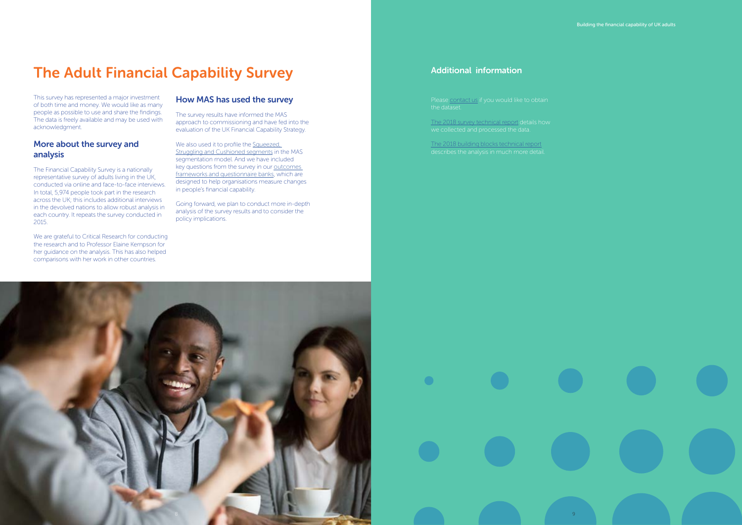### The Adult Financial Capability Survey

This survey has represented a major investment of both time and money. We would like as many people as possible to use and share the findings. The data is freely available and may be used with acknowledgment.

### More about the survey and analysis

The Financial Capability Survey is a nationally representative survey of adults living in the UK, conducted via online and face-to-face interviews. In total, 5,974 people took part in the research across the UK; this includes additional interviews in the devolved nations to allow robust analysis in each country. It repeats the survey conducted in 2015.

We also used it to profile the Squeezed, [Struggling and Cushioned segments](https://masassets.blob.core.windows.net/cms/files/000/001/137/original/Market_Segmentation_Segment_Infographics.pdf) in the MAS segmentation model. And we have included key questions from the survey in our outcomes [frameworks and questionnaire banks](https://www.fincap.org.uk/en/articles/outcomes-frameworks-and-question-banks), which are designed to help organisations measure changes in people's financial capability.

We are grateful to Critical Research for conducting the research and to Professor Elaine Kempson for her guidance on the analysis. This has also helped comparisons with her work in other countries.

Please [contact us](mailto:contact%40singlefinancialguidancebody.org.uk?subject=Dataset) if you would like to obtain the dataset.

### How MAS has used the survey

The survey results have informed the MAS approach to commissioning and have fed into the evaluation of the UK Financial Capability Strategy.

Going forward, we plan to conduct more in-depth analysis of the survey results and to consider the policy implications.

### Additional information

[The 2018 survey technical report](https://masassets.blob.core.windows.net/cms/files/000/001/121/original/Financial_Capability_Survey_2018_-_Survey_Technical_Report.pdf) details how

[The 2018 building blocks technical report](https://masassets.blob.core.windows.net/cms/files/000/001/122/original/Financial_Capability_Building_Blocks_Technical_Report_2018.pdf)



Building the financial capability of UK adults